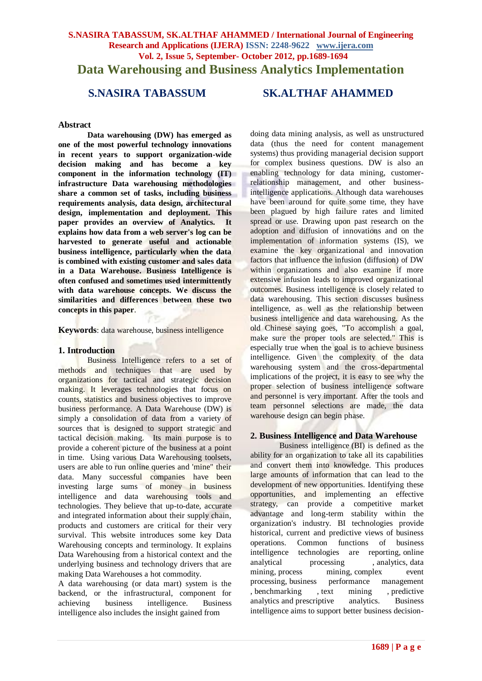# **S.NASIRA TABASSUM, SK.ALTHAF AHAMMED / International Journal of Engineering Research and Applications (IJERA) ISSN: 2248-9622 www.ijera.com Vol. 2, Issue 5, September- October 2012, pp.1689-1694 Data Warehousing and Business Analytics Implementation**

**S.NASIRA TABASSUM SK.ALTHAF AHAMMED**

#### **Abstract**

**Data warehousing (DW) has emerged as one of the most powerful technology innovations in recent years to support organization-wide decision making and has become a key component in the information technology (IT) infrastructure Data warehousing methodologies share a common set of tasks, including business requirements analysis, data design, architectural design, implementation and deployment. This paper provides an overview of Analytics. It explains how data from a web server's log can be harvested to generate useful and actionable business intelligence, particularly when the data is combined with existing customer and sales data in a Data Warehouse. Business Intelligence is often confused and sometimes used intermittently with data warehouse concepts. We discuss the similarities and differences between these two concepts in this paper**.

**Keywords**: data warehouse, business intelligence

#### **1. Introduction**

Business Intelligence refers to a set of methods and techniques that are used by organizations for tactical and strategic decision making. It leverages technologies that focus on counts, statistics and business objectives to improve business performance. A Data Warehouse (DW) is simply a consolidation of data from a variety of sources that is designed to support strategic and tactical decision making. Its main purpose is to provide a coherent picture of the business at a point in time. Using various Data Warehousing toolsets, users are able to run online queries and 'mine" their data. Many successful companies have been investing large sums of money in business intelligence and data warehousing tools and technologies. They believe that up-to-date, accurate and integrated information about their supply chain, products and customers are critical for their very survival. This website introduces some key Data Warehousing concepts and terminology. It explains Data Warehousing from a historical context and the underlying business and technology drivers that are making Data Warehouses a hot commodity.

A data warehousing (or data mart) system is the backend, or the infrastructural, component for achieving business intelligence. Business intelligence also includes the insight gained from

doing data mining analysis, as well as unstructured data (thus the need for content management systems) thus providing managerial decision support for complex business questions. DW is also an enabling technology for data mining, customerrelationship management, and other businessintelligence applications. Although data warehouses have been around for quite some time, they have been plagued by high failure rates and limited spread or use. Drawing upon past research on the adoption and diffusion of innovations and on the implementation of information systems (IS), we examine the key organizational and innovation factors that influence the infusion (diffusion) of DW within organizations and also examine if more extensive infusion leads to improved organizational outcomes. Business intelligence is closely related to data warehousing. This section discusses business intelligence, as well as the relationship between business intelligence and data warehousing. As the old Chinese saying goes, "To accomplish a goal, make sure the proper tools are selected." This is especially true when the goal is to achieve business intelligence. Given the complexity of the data warehousing system and the cross-departmental implications of the project, it is easy to see why the proper selection of business intelligence software and personnel is very important. After the tools and team personnel selections are made, the data warehouse design can begin phase.

#### **2. Business Intelligence and Data Warehouse**

Business intelligence (BI) is defined as the ability for an organization to take all its capabilities and convert them into knowledge. This produces large amounts of information that can lead to the development of new opportunities. Identifying these opportunities, and implementing an effective strategy, can provide a competitive market advantage and long-term stability within the organization's industry. BI technologies provide historical, current and predictive views of business operations. Common functions of business intelligence technologies are reporting, online<br>analytical processing, analytics, data [analytical processing](http://en.wikipedia.org/wiki/Online_analytical_processing) , [analytics,](http://en.wikipedia.org/wiki/Analytics) [data](http://en.wikipedia.org/wiki/Data_mining) [mining,](http://en.wikipedia.org/wiki/Data_mining) [process mining,](http://en.wikipedia.org/wiki/Process_mining) complex event [processing,](http://en.wikipedia.org/wiki/Complex_event_processing) [business performance management](http://en.wikipedia.org/wiki/Business_performance_management) , [benchmarking](http://en.wikipedia.org/wiki/Benchmarking) , [text mining](http://en.wikipedia.org/wiki/Text_mining) , [predictive](http://en.wikipedia.org/wiki/Predictive_Analysis)  [analytics](http://en.wikipedia.org/wiki/Predictive_Analysis) and [prescriptive analytics.](http://en.wikipedia.org/wiki/Prescriptive_Analytics) Business intelligence aims to support better business decision-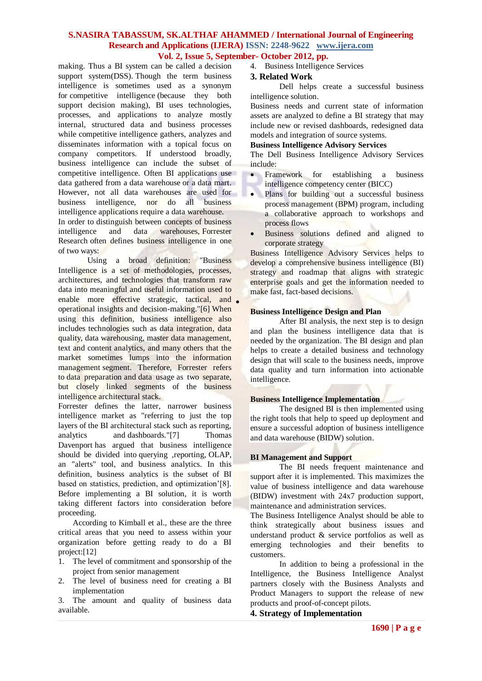# **S.NASIRA TABASSUM, SK.ALTHAF AHAMMED / International Journal of Engineering Research and Applications (IJERA) ISSN: 2248-9622 www.ijera.com Vol. 2, Issue 5, September- October 2012, pp.**

making. Thus a BI system can be called a [decision](http://en.wikipedia.org/wiki/Decision_support_system)  [support system\(](http://en.wikipedia.org/wiki/Decision_support_system)DSS). Though the term business intelligence is sometimes used as a synonym for [competitive intelligence](http://en.wikipedia.org/wiki/Competitive_intelligence) (because they both support decision making), BI uses technologies, processes, and applications to analyze mostly internal, structured data and business processes while competitive intelligence gathers, analyzes and disseminates information with a topical focus on company competitors. If understood broadly, business intelligence can include the subset of competitive intelligence. Often BI applications use data gathered from a [data warehouse](http://en.wikipedia.org/wiki/Data_warehouse) or a [data mart.](http://en.wikipedia.org/wiki/Data_mart) However, not all data warehouses are used for business intelligence, nor do all business intelligence applications require a data warehouse.

In order to distinguish between concepts of business intelligence and data warehouses, [Forrester](http://en.wikipedia.org/wiki/Forrester_Research)  [Research](http://en.wikipedia.org/wiki/Forrester_Research) often defines business intelligence in one of two ways:

Using a broad definition: "Business Intelligence is a set of methodologies, processes, architectures, and technologies that transform raw data into meaningful and useful information used to enable more effective strategic, tactical, and . operational insights and decision-making.["\[6\]](http://en.wikipedia.org/wiki/Business_intelligence#cite_note-5) When using this definition, business intelligence also includes technologies such as data integration, data quality, data warehousing, master data management, text and content analytics, and many others that the market sometimes lumps into the information management segment. Therefore, Forrester refers to data preparation and data usage as two separate, but closely linked segments of the business intelligence architectural stack.

Forrester defines the latter, narrower business intelligence market as "referring to just the top layers of the BI architectural stack such as reporting, analytics and [dashboards.](http://en.wikipedia.org/wiki/Dashboards_(management_information_systems))["\[7\]](http://en.wikipedia.org/wiki/Business_intelligence#cite_note-6) [Thomas](http://en.wikipedia.org/wiki/Thomas_H._Davenport)  [Davenport](http://en.wikipedia.org/wiki/Thomas_H._Davenport) has argued that business intelligence should be divided into [querying](http://en.wikipedia.org/wiki/Information_retrieval) [,reporting,](http://en.wikipedia.org/wiki/Business_reporting) [OLAP,](http://en.wikipedia.org/wiki/OLAP) an "alerts" tool, and [business analytics.](http://en.wikipedia.org/wiki/Business_analytics) In this definition, business analytics is the subset of BI based on statistics, prediction, and optimization'[8]. Before implementing a BI solution, it is worth taking different factors into consideration before proceeding.

According to Kimball et al., these are the three critical areas that you need to assess within your organization before getting ready to do a BI project[:\[12\]](http://en.wikipedia.org/wiki/Business_intelligence#cite_note-11)

- 1. The level of commitment and sponsorship of the project from senior management
- 2. The level of business need for creating a BI implementation

3. The amount and quality of business data available.

4. Business Intelligence Services

#### **3. Related Work**

Dell helps create a successful business intelligence solution.

Business needs and current state of information assets are analyzed to define a BI strategy that may include new or revised dashboards, redesigned data models and integration of source systems.

#### **[Business Intelligence Advisory Services](http://content.dell.com/us/en/enterprise/spredir.ashx/services/business-intelligence-advisory-services)**

The Dell Business Intelligence Advisory Services include:

- Framework for establishing a business intelligence competency center (BICC)
- Plans for building out a successful business process management (BPM) program, including a collaborative approach to workshops and process flows
- Business solutions defined and aligned to corporate strategy

[Business Intelligence Advisory Services](http://content.dell.com/us/en/enterprise/spredir.ashx/services/business-intelligence-advisory-services) helps to develop a comprehensive business intelligence (BI) strategy and roadmap that aligns with strategic enterprise goals and get the information needed to make fast, fact-based decisions.

#### **[Business Intelligence Design and Plan](http://content.dell.com/us/en/enterprise/spredir.ashx/services/business-intelligence-design-plan)**

After BI analysis, the next step is to design and plan the business intelligence data that is needed by the organization. The BI design and plan helps to create a detailed business and technology design that will scale to the business needs, improve data quality and turn information into actionable intelligence.

# **[Business Intelligence Implementation](http://content.dell.com/us/en/enterprise/spredir.ashx/services/business-intelligence-implementation)**

The designed BI is then implemented using the right tools that help to speed up deployment and ensure a successful adoption of business intelligence and data warehouse (BIDW) solution.

# **[BI Management](http://content.dell.com/us/en/enterprise/spredir.ashx/services/business-intelligence-manage-support) and Support**

The BI needs frequent maintenance and support after it is implemented. This maximizes the value of business intelligence and data warehouse (BIDW) investment with 24x7 production support, maintenance and administration services.

The Business Intelligence Analyst should be able to think strategically about business issues and understand product & service portfolios as well as emerging technologies and their benefits to customers.

In addition to being a professional in the Intelligence, the Business Intelligence Analyst partners closely with the Business Analysts and Product Managers to support the release of new products and proof-of-concept pilots.

# **4. Strategy of Implementation**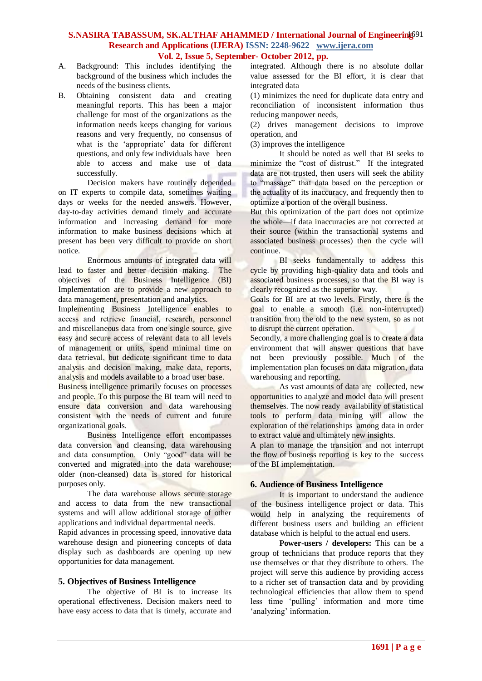# S.NASIRA TABASSUM, SK.ALTHAF AHAMMED / International Journal of Engineering<sup>91</sup> **Research and Applications (IJERA) ISSN: 2248-9622 www.ijera.com Vol. 2, Issue 5, September- October 2012, pp.**

- A. Background: This includes identifying the background of the business which includes the needs of the business clients.
- B. Obtaining consistent data and creating meaningful reports. This has been a major challenge for most of the organizations as the information needs keeps changing for various reasons and very frequently, no consensus of what is the 'appropriate' data for different questions, and only few individuals have been able to access and make use of data successfully.

Decision makers have routinely depended on IT experts to compile data, sometimes waiting days or weeks for the needed answers. However, day-to-day activities demand timely and accurate information and increasing demand for more information to make business decisions which at present has been very difficult to provide on short notice.

Enormous amounts of integrated data will lead to faster and better decision making. The objectives of the Business Intelligence (BI) Implementation are to provide a new approach to data management, presentation and analytics.

Implementing Business Intelligence enables to access and retrieve financial, research, personnel and miscellaneous data from one single source, give easy and secure access of relevant data to all levels of management or units, spend minimal time on data retrieval, but dedicate significant time to data analysis and decision making, make data, reports, analysis and models available to a broad user base.

Business intelligence primarily focuses on processes and people. To this purpose the BI team will need to ensure data conversion and data warehousing consistent with the needs of current and future organizational goals.

Business Intelligence effort encompasses data conversion and cleansing, data warehousing and data consumption. Only "good" data will be converted and migrated into the data warehouse; older (non-cleansed) data is stored for historical purposes only.

The data warehouse allows secure storage and access to data from the new transactional systems and will allow additional storage of other applications and individual departmental needs.

Rapid advances in processing speed, innovative data warehouse design and pioneering concepts of data display such as dashboards are opening up new opportunities for data management.

# **5. Objectives of Business Intelligence**

The objective of BI is to increase its operational effectiveness. Decision makers need to have easy access to data that is timely, accurate and

integrated. Although there is no absolute dollar value assessed for the BI effort, it is clear that integrated data

(1) minimizes the need for duplicate data entry and reconciliation of inconsistent information thus reducing manpower needs,

(2) drives management decisions to improve operation, and

(3) improves the intelligence

It should be noted as well that BI seeks to minimize the "cost of distrust." If the integrated data are not trusted, then users will seek the ability to "massage" that data based on the perception or the actuality of its inaccuracy, and frequently then to optimize a portion of the overall business.

But this optimization of the part does not optimize the whole—if data inaccuracies are not corrected at their source (within the transactional systems and associated business processes) then the cycle will continue.

BI seeks fundamentally to address this cycle by providing high-quality data and tools and associated business processes, so that the BI way is clearly recognized as the superior way.

Goals for BI are at two levels. Firstly, there is the goal to enable a smooth (i.e. non-interrupted) transition from the old to the new system, so as not to disrupt the current operation.

Secondly, a more challenging goal is to create a data environment that will answer questions that have not been previously possible. Much of the implementation plan focuses on data migration, data warehousing and reporting.

As vast amounts of data are collected, new opportunities to analyze and model data will present themselves. The now ready availability of statistical tools to perform data mining will allow the exploration of the relationships among data in order to extract value and ultimately new insights.

A plan to manage the transition and not interrupt the flow of business reporting is key to the success of the BI implementation.

# **6. Audience of Business Intelligence**

It is important to understand the audience of the business intelligence project or data. This would help in analyzing the requirements of different business users and building an efficient database which is helpful to the actual end users.

**Power-users / developers:** This can be a group of technicians that produce reports that they use themselves or that they distribute to others. The project will serve this audience by providing access to a richer set of transaction data and by providing technological efficiencies that allow them to spend less time 'pulling' information and more time 'analyzing' information.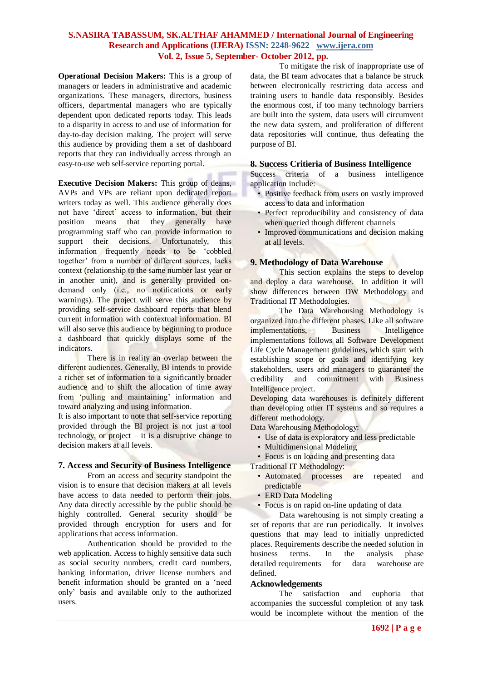# **S.NASIRA TABASSUM, SK.ALTHAF AHAMMED / International Journal of Engineering Research and Applications (IJERA) ISSN: 2248-9622 www.ijera.com Vol. 2, Issue 5, September- October 2012, pp.**

**Operational Decision Makers:** This is a group of managers or leaders in administrative and academic organizations. These managers, directors, business officers, departmental managers who are typically dependent upon dedicated reports today. This leads to a disparity in access to and use of information for day-to-day decision making. The project will serve this audience by providing them a set of dashboard reports that they can individually access through an easy-to-use web self-service reporting portal.

**Executive Decision Makers:** This group of deans, AVPs and VPs are reliant upon dedicated report writers today as well. This audience generally does not have 'direct' access to information, but their position means that they generally have programming staff who can provide information to support their decisions. Unfortunately, this information frequently needs to be 'cobbled together' from a number of different sources, lacks context (relationship to the same number last year or in another unit), and is generally provided ondemand only (i.e., no notifications or early warnings). The project will serve this audience by providing self-service dashboard reports that blend current information with contextual information. BI will also serve this audience by beginning to produce a dashboard that quickly displays some of the indicators.

There is in reality an overlap between the different audiences. Generally, BI intends to provide a richer set of information to a significantly broader audience and to shift the allocation of time away from ‗pulling and maintaining' information and toward analyzing and using information.

It is also important to note that self-service reporting provided through the BI project is not just a tool technology, or project  $-$  it is a disruptive change to decision makers at all levels.

# **7. Access and Security of Business Intelligence**

From an access and security standpoint the vision is to ensure that decision makers at all levels have access to data needed to perform their jobs. Any data directly accessible by the public should be highly controlled. General security should be provided through encryption for users and for applications that access information.

Authentication should be provided to the web application. Access to highly sensitive data such as social security numbers, credit card numbers, banking information, driver license numbers and benefit information should be granted on a 'need only' basis and available only to the authorized users.

To mitigate the risk of inappropriate use of data, the BI team advocates that a balance be struck between electronically restricting data access and training users to handle data responsibly. Besides the enormous cost, if too many technology barriers are built into the system, data users will circumvent the new data system, and proliferation of different data repositories will continue, thus defeating the purpose of BI.

#### **8. Success Critieria of Business Intelligence**

Success criteria of a business intelligence application include:

- Positive feedback from users on vastly improved access to data and information
- Perfect reproducibility and consistency of data when queried though different channels
- Improved communications and decision making at all levels.

# **9. Methodology of Data Warehouse**

This section explains the steps to develop and deploy a data warehouse. In addition it will show differences between DW Methodology and Traditional IT Methodologies.

The Data Warehousing Methodology is organized into the different phases. Like all software implementations, Business Intelligence implementations follows all Software Development Life Cycle Management guidelines, which start with establishing scope or goals and identifying key stakeholders, users and managers to guarantee the credibility and commitment with Business Intelligence project.

Developing data warehouses is definitely different than developing other IT systems and so requires a different methodology.

Data Warehousing Methodology:

- Use of data is exploratory and less predictable
- Multidimensional Modeling
- Focus is on loading and presenting data

Traditional IT Methodology:

- Automated processes are repeated and predictable
- ERD Data Modeling
- Focus is on rapid on-line updating of data

Data warehousing is not simply creating a set of reports that are run periodically. It involves questions that may lead to initially unpredicted places. Requirements describe the needed solution in business terms. In the analysis phase detailed [requirements](http://infogoal.com/datawarehousing/requirements.htm) for data warehouse are defined.

#### **Acknowledgements**

The satisfaction and euphoria that accompanies the successful completion of any task would be incomplete without the mention of the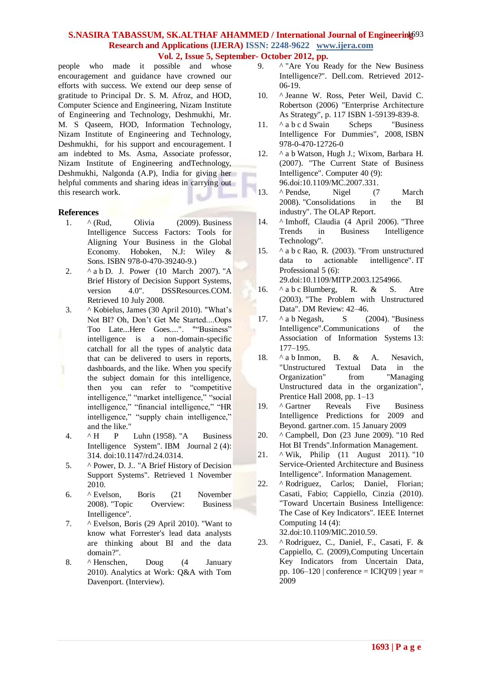## S.NASIRA TABASSUM, SK.ALTHAF AHAMMED / International Journal of Engineering<sup>93</sup> **Research and Applications (IJERA) ISSN: 2248-9622 www.ijera.com Vol. 2, Issue 5, September- October 2012, pp.**

people who made it possible and whose encouragement and guidance have crowned our efforts with success. We extend our deep sense of gratitude to Principal Dr. S. M. Afroz, and HOD, Computer Science and Engineering, Nizam Institute of Engineering and Technology, Deshmukhi, Mr. M. S Qaseem, HOD, Information Technology, Nizam Institute of Engineering and Technology, Deshmukhi, for his support and encouragement. I am indebted to Ms. Asma, Associate professor, Nizam Institute of Engineering andTechnology, Deshmukhi, Nalgonda (A.P), India for giving her helpful comments and sharing ideas in carrying out this research work.

#### **References**

- 1.  $\land$  (Rud, Olivia (2009). Business Intelligence Success Factors: Tools for Aligning Your Business in the Global Economy. Hoboken, N.J: Wiley & Sons. [ISBN](http://en.wikipedia.org/wiki/International_Standard_Book_Number) [978-0-470-39240-9.](http://en.wikipedia.org/wiki/Special:BookSources/978-0-470-39240-9))
- 2.  $\wedge$  [a](http://en.wikipedia.org/wiki/Business_intelligence#cite_ref-power_1-0) [b](http://en.wikipedia.org/wiki/Business_intelligence#cite_ref-power_1-1) D. J. Power (10 March 2007). "A [Brief History of Decision Support Systems,](http://dssresources.com/history/dsshistory.html)  [version 4.0".](http://dssresources.com/history/dsshistory.html) DSSResources.COM. Retrieved 10 July 2008.
- 3. [^](http://en.wikipedia.org/wiki/Business_intelligence#cite_ref-2) Kobielus, James (30 April 2010). ["What's](http://blogs.forrester.com/james_kobielus/10-04-30-what%E2%80%99s_not_bi_oh_don%E2%80%99t_get_me_startedoops_too_latehere_goes)  [Not BI? Oh, Don't Get Me Started....Oops](http://blogs.forrester.com/james_kobielus/10-04-30-what%E2%80%99s_not_bi_oh_don%E2%80%99t_get_me_startedoops_too_latehere_goes)  [Too Late...Here Goes....".](http://blogs.forrester.com/james_kobielus/10-04-30-what%E2%80%99s_not_bi_oh_don%E2%80%99t_get_me_startedoops_too_latehere_goes) ""Business" intelligence is a non-domain-specific catchall for all the types of analytic data that can be delivered to users in reports, dashboards, and the like. When you specify the subject domain for this intelligence, then you can refer to "competitive intelligence," "market intelligence," "social intelligence," "financial intelligence," "HR intelligence," "supply chain intelligence," and the like."
- 4. [^](http://en.wikipedia.org/wiki/Business_intelligence#cite_ref-3) [H P Luhn](http://en.wikipedia.org/wiki/Hans_Peter_Luhn) (1958). ["A Business](http://www.research.ibm.com/journal/rd/024/ibmrd0204H.pdf)  [Intelligence System".](http://www.research.ibm.com/journal/rd/024/ibmrd0204H.pdf) IBM Journal 2 (4): 314. [doi](http://en.wikipedia.org/wiki/Digital_object_identifier)[:10.1147/rd.24.0314.](http://dx.doi.org/10.1147%2Frd.24.0314)
- 5. [^](http://en.wikipedia.org/wiki/Business_intelligence#cite_ref-4) Power, D. J.. ["A Brief History of Decision](http://dssresources.com/history/dsshistory.html)  [Support Systems".](http://dssresources.com/history/dsshistory.html) Retrieved 1 November 2010.
- 6. [^](http://en.wikipedia.org/wiki/Business_intelligence#cite_ref-5) Evelson, Boris (21 November 2008). ["Topic Overview: Business](http://www.forrester.com/rb/Research/topic_overview_business_intelligence/q/id/39218/t/2)  [Intelligence".](http://www.forrester.com/rb/Research/topic_overview_business_intelligence/q/id/39218/t/2)
- 7. [^](http://en.wikipedia.org/wiki/Business_intelligence#cite_ref-6) Evelson, Boris (29 April 2010). ["Want to](http://blogs.forrester.com/boris_evelson/10-04-29-want_know_what_forresters_lead_data_analysts_are_thinking_about_bi_and_data_domain)  [know what Forrester's lead data analysts](http://blogs.forrester.com/boris_evelson/10-04-29-want_know_what_forresters_lead_data_analysts_are_thinking_about_bi_and_data_domain)  [are thinking about BI and the data](http://blogs.forrester.com/boris_evelson/10-04-29-want_know_what_forresters_lead_data_analysts_are_thinking_about_bi_and_data_domain)  [domain?".](http://blogs.forrester.com/boris_evelson/10-04-29-want_know_what_forresters_lead_data_analysts_are_thinking_about_bi_and_data_domain)
- 8. [^](http://en.wikipedia.org/wiki/Business_intelligence#cite_ref-7) Henschen, Doug (4 January 2010). [Analytics at Work: Q&A with Tom](http://www.informationweek.com/news/software/bi/222200096)  [Davenport.](http://www.informationweek.com/news/software/bi/222200096) (Interview).
- 9. [^](http://en.wikipedia.org/wiki/Business_intelligence#cite_ref-9) "Are You Ready for the New Business" [Intelligence?".](http://content.dell.com/us/en/enterprise/d/large-business/ready-business-intelligence.aspx) Dell.com. Retrieved 2012- 06-19.
- 10. [^](http://en.wikipedia.org/wiki/Business_intelligence#cite_ref-10) Jeanne W. Ross, Peter Weil, David C. Robertson (2006) "Enterprise Architecture As Strategy", p. 117 [ISBN 1-59139-839-8.](http://en.wikipedia.org/wiki/Special:BookSources/1591398398)
- 11. ^ [a](http://en.wikipedia.org/wiki/Business_intelligence#cite_ref-swain_16-0) [b](http://en.wikipedia.org/wiki/Business_intelligence#cite_ref-swain_16-1) [c](http://en.wikipedia.org/wiki/Business_intelligence#cite_ref-swain_16-2) [d](http://en.wikipedia.org/wiki/Business_intelligence#cite_ref-swain_16-3) Swain Scheps "Business" Intelligence For Dummies", 2008, [ISBN](http://en.wikipedia.org/wiki/Special:BookSources/9780470127260)  [978-0-470-12726-0](http://en.wikipedia.org/wiki/Special:BookSources/9780470127260)
- 12. ^ [a](http://en.wikipedia.org/wiki/Business_intelligence#cite_ref-watson_17-0) [b](http://en.wikipedia.org/wiki/Business_intelligence#cite_ref-watson_17-1) Watson, Hugh J.; Wixom, Barbara H. (2007). "The Current State of Business Intelligence". Computer 40 (9): 96[.doi:](http://en.wikipedia.org/wiki/Digital_object_identifier)[10.1109/MC.2007.331.](http://dx.doi.org/10.1109%2FMC.2007.331)
- 13. [^](http://en.wikipedia.org/wiki/Business_intelligence#cite_ref-18) Pendse, Nigel (7 March 2008). ["Consolidations in the BI](http://www.bi-verdict.com/fileadmin/FreeAnalyses/consolidations.htm)  [industry".](http://www.bi-verdict.com/fileadmin/FreeAnalyses/consolidations.htm) The OLAP Report.
- 14. [^](http://en.wikipedia.org/wiki/Business_intelligence#cite_ref-19) Imhoff, Claudia (4 April 2006). ["Three](http://www.b-eye-network.com/view/2608)  [Trends in Business Intelligence](http://www.b-eye-network.com/view/2608)  [Technology".](http://www.b-eye-network.com/view/2608)
- 15. ^ [a](http://en.wikipedia.org/wiki/Business_intelligence#cite_ref-rao_20-0) [b](http://en.wikipedia.org/wiki/Business_intelligence#cite_ref-rao_20-1) [c](http://en.wikipedia.org/wiki/Business_intelligence#cite_ref-rao_20-2) Rao, R. (2003). ["From unstructured](http://www.ramanarao.com/papers/rao-itpro-2003-11.pdf)  [data to actionable intelligence".](http://www.ramanarao.com/papers/rao-itpro-2003-11.pdf) IT Professional 5 (6): 29[.doi:](http://en.wikipedia.org/wiki/Digital_object_identifier)[10.1109/MITP.2003.1254966.](http://dx.doi.org/10.1109%2FMITP.2003.1254966)
- 16. ^ [a](http://en.wikipedia.org/wiki/Business_intelligence#cite_ref-blumberg_21-0) [b](http://en.wikipedia.org/wiki/Business_intelligence#cite_ref-blumberg_21-1) [c](http://en.wikipedia.org/wiki/Business_intelligence#cite_ref-blumberg_21-2) Blumberg, R. & S. Atre (2003). ["The Problem with Unstructured](http://soquelgroup.com/Articles/dmreview_0203_problem.pdf)  [Data".](http://soquelgroup.com/Articles/dmreview_0203_problem.pdf) DM Review: 42–46.
- 17.  $\land$  $\land$  $\land$  a [b](http://en.wikipedia.org/wiki/Business_intelligence#cite_ref-negash_22-1) Negash, S (2004). "Business [Intelligence".](http://site.xavier.edu/sena/info600/businessintelligence.pdf)Communications of the Association of Information Systems 13: 177–195.
- 18. ^ [a](http://en.wikipedia.org/wiki/Business_intelligence#cite_ref-inmon_23-0) [b](http://en.wikipedia.org/wiki/Business_intelligence#cite_ref-inmon_23-1) Inmon, B. & A. Nesavich, "Unstructured Textual Data in the Organization" from "Managing Unstructured data in the organization", Prentice Hall 2008, pp. 1–13
- 19. [^](http://en.wikipedia.org/wiki/Business_intelligence#cite_ref-24) [Gartner Reveals Five Business](http://www.gartner.com/it/page.jsp?id=856714)  [Intelligence Predictions for 2009 and](http://www.gartner.com/it/page.jsp?id=856714)  [Beyond.](http://www.gartner.com/it/page.jsp?id=856714) gartner.com. 15 January 2009
- 20. [^](http://en.wikipedia.org/wiki/Business_intelligence#cite_ref-25) Campbell, Don (23 June 2009). ["10 Red](http://www.information-management.com/specialreports/2009_148/business_intelligence_data_vizualization_social_networking_analytics-10015628-1.html)  [Hot BI Trends".](http://www.information-management.com/specialreports/2009_148/business_intelligence_data_vizualization_social_networking_analytics-10015628-1.html)Information Management.
- 21. [^](http://en.wikipedia.org/wiki/Business_intelligence#cite_ref-26) Wik, Philip (11 August 2011). ["10](http://www.servicetechmag.com/I53/0811-2)  [Service-Oriented Architecture and Business](http://www.servicetechmag.com/I53/0811-2)  [Intelligence".](http://www.servicetechmag.com/I53/0811-2) Information Management.
- 22. [^](http://en.wikipedia.org/wiki/Business_intelligence#cite_ref-27) Rodriguez, Carlos: Daniel, Florian; Casati, Fabio; Cappiello, Cinzia (2010). "Toward Uncertain Business Intelligence: The Case of Key Indicators". IEEE Internet Computing 14 (4): 32[.doi:](http://en.wikipedia.org/wiki/Digital_object_identifier)[10.1109/MIC.2010.59.](http://dx.doi.org/10.1109%2FMIC.2010.59)
- 23. [^](http://en.wikipedia.org/wiki/Business_intelligence#cite_ref-28) Rodriguez, C., Daniel, F., Casati, F. & Cappiello, C. (2009)[,Computing Uncertain](http://mitiq.mit.edu/ICIQ/Documents/IQ%20Conference%202009/Papers/3-C.pdf)  [Key Indicators from Uncertain Data,](http://mitiq.mit.edu/ICIQ/Documents/IQ%20Conference%202009/Papers/3-C.pdf) pp.  $106-120$  | conference = ICIQ'09 | year = 2009